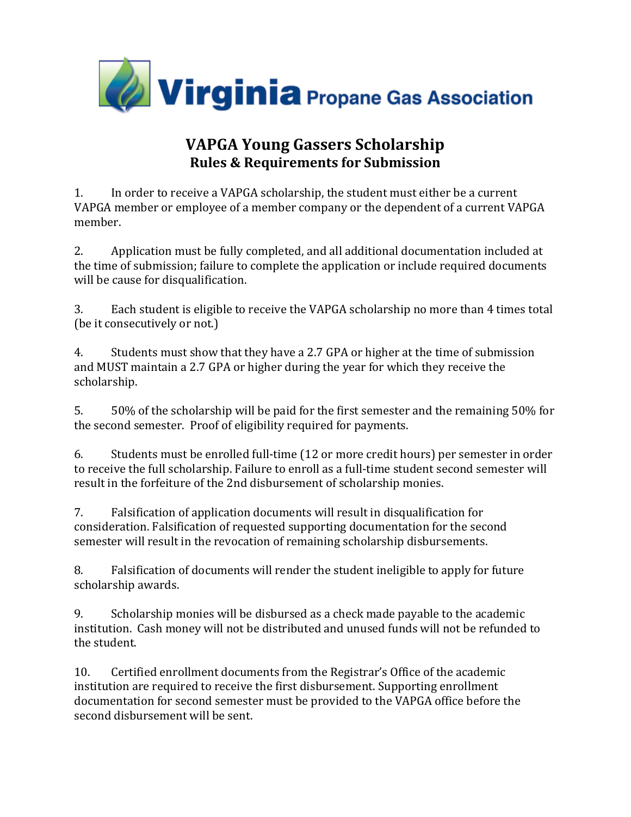

## **VAPGA Young Gassers Scholarship Rules & Requirements for Submission**

1. In order to receive a VAPGA scholarship, the student must either be a current VAPGA member or employee of a member company or the dependent of a current VAPGA member.

2. Application must be fully completed, and all additional documentation included at the time of submission; failure to complete the application or include required documents will be cause for disqualification.

3. Each student is eligible to receive the VAPGA scholarship no more than 4 times total (be it consecutively or not.)

4. Students must show that they have a 2.7 GPA or higher at the time of submission and MUST maintain a 2.7 GPA or higher during the year for which they receive the scholarship.

5. 50% of the scholarship will be paid for the first semester and the remaining 50% for the second semester. Proof of eligibility required for payments.

6. Students must be enrolled full‐time (12 or more credit hours) per semester in order to receive the full scholarship. Failure to enroll as a full-time student second semester will result in the forfeiture of the 2nd disbursement of scholarship monies.

7. Falsification of application documents will result in disqualification for consideration. Falsification of requested supporting documentation for the second semester will result in the revocation of remaining scholarship disbursements.

8. Falsification of documents will render the student ineligible to apply for future scholarship awards.

9. Scholarship monies will be disbursed as a check made payable to the academic institution. Cash money will not be distributed and unused funds will not be refunded to the student.

10. Certified enrollment documents from the Registrar's Office of the academic institution are required to receive the first disbursement. Supporting enrollment documentation for second semester must be provided to the VAPGA office before the second disbursement will be sent.